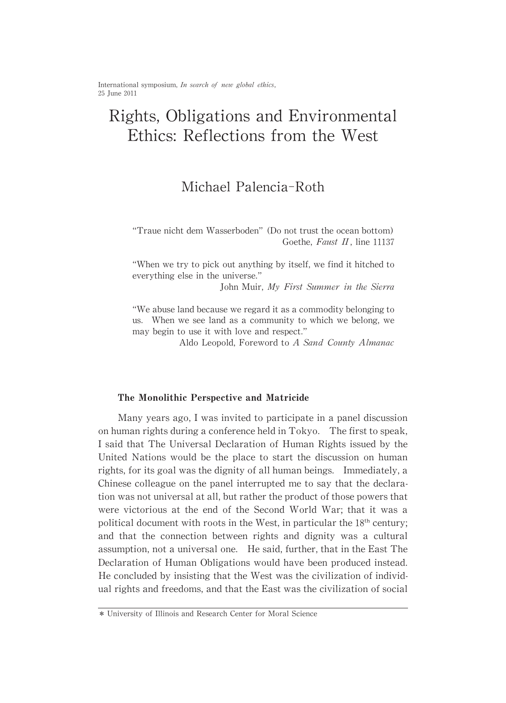International symposium, In search of new global ethics, 25 June 2011

# Rights,Obligations and Environmental Ethics: Reflections from the West

## Michael Palencia-Roth

"Traue nicht dem Wasserboden" (Do not trust the ocean bottom) Goethe, Faust II, line 11137

"When we try to pick out anything by itself, we find it hitched to everything else in the universe."

John Muir, My First Summer in the Sierra

"We abuse land because we regard it as a commodity belonging to us. When we see land as a community to which we belong, we may begin to use it with love and respect."

Aldo Leopold, Foreword to A Sand County Almanac

#### The Monolithic Perspective and Matricide

Many years ago, I was invited to participate in a panel discussion on human rights during a conference held in Tokyo. The first to speak, I said that The Universal Declaration of Human Rights issued by the United Nations would be the place to start the discussion on human rights, for its goal was the dignity of all human beings. Immediately, a Chinese colleague on the panel interrupted me to say that the declaration was not universal at all, but rather the product of those powers that were victorious at the end of the Second World War; that it was a political document with roots in the West, in particular the  $18<sup>th</sup>$  century; and that the connection between rights and dignity was a cultural assumption, not a universal one. He said, further, that in the East The Declaration of Human Obligations would have been produced instead. He concluded by insisting that the West was the civilization of individual rights and freedoms, and that the East was the civilization of social

<sup>\*</sup> University of Illinois and Research Center for Moral Science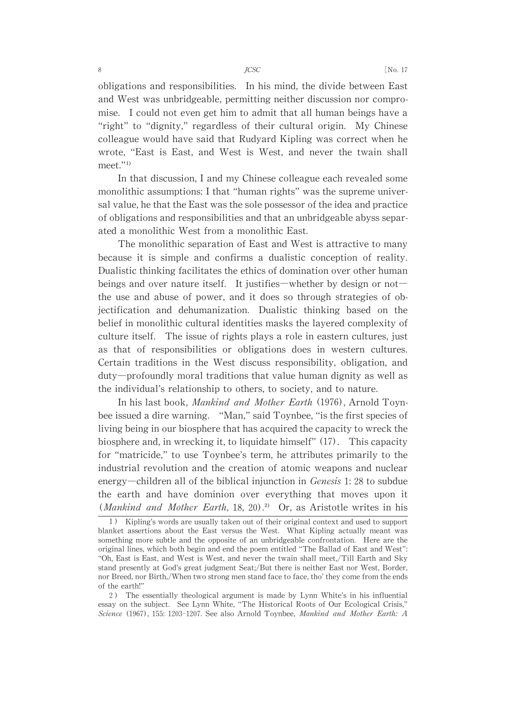obligations and responsibilities. In his mind, the divide between East and West was unbridgeable, permitting neither discussion nor compromise. I could not even get him to admit that all human beings have a "right" to "dignity," regardless of their cultural origin. My Chinese colleague would have said that Rudyard Kipling was correct when he wrote, "East is East, and West is West, and never the twain shall  $meet.^{"1)}$ 

In that discussion, I and my Chinese colleague each revealed some monolithic assumptions: I that "human rights" was the supreme universal value, he that the East was the sole possessor of the idea and practice of obligations and responsibilities and that an unbridgeable abyss separated a monolithic West from a monolithic East.

The monolithic separation of East and West is attractive to many because it is simple and confirms a dualistic conception of reality. Dualistic thinking facilitates the ethics of domination over other human beings and over nature itself. It justifies—whether by design or not the use and abuse of power, and it does so through strategies of objectification and dehumanization. Dualistic thinking based on the belief in monolithic cultural identities masks the layered complexity of culture itself. The issue of rights plays a role in eastern cultures, just as that of responsibilities or obligations does in western cultures. Certain traditions in the West discuss responsibility, obligation, and duty-profoundly moral traditions that value human dignity as well as the individual's relationship to others, to society, and to nature.

In his last book, Mankind and Mother Earth (1976), Arnold Toynbee issued a dire warning. "Man," said Toynbee, "is the first species of living being in our biosphere that has acquired the capacity to wreck the biosphere and, in wrecking it, to liquidate himself" (17). This capacity for "matricide," to use Toynbee's term, he attributes primarily to the industrial revolution and the creation of atomic weapons and nuclear energy—children all of the biblical injunction in *Genesis* 1:28 to subdue the earth and have dominion over everything that moves upon it (*Mankind and Mother Earth*, 18, 20).<sup>2)</sup> Or, as Aristotle writes in his

2) The essentially theological argument is made by Lynn White's in his influential essay on the subject. See Lynn White, "The Historical Roots of Our Ecological Crisis," Science (1967), 155: 1203-1207. See also Arnold Toynbee, Mankind and Mother Earth: A

<sup>1)</sup> Kipling's words are usually taken out of their original context and used to support blanket assertions about the East versus the West. What Kipling actually meant was something more subtle and the opposite of an unbridgeable confrontation. Here are the original lines, which both begin and end the poem entitled "The Ballad of East and West": "Oh, East is East, and West is West, and never the twain shall meet,/Till Earth and Sky stand presently at God's great judgment Seat;/But there is neither East nor West, Border, nor Breed, nor Birth,/When two strong men stand face to face, tho' they come from the ends of the earth!"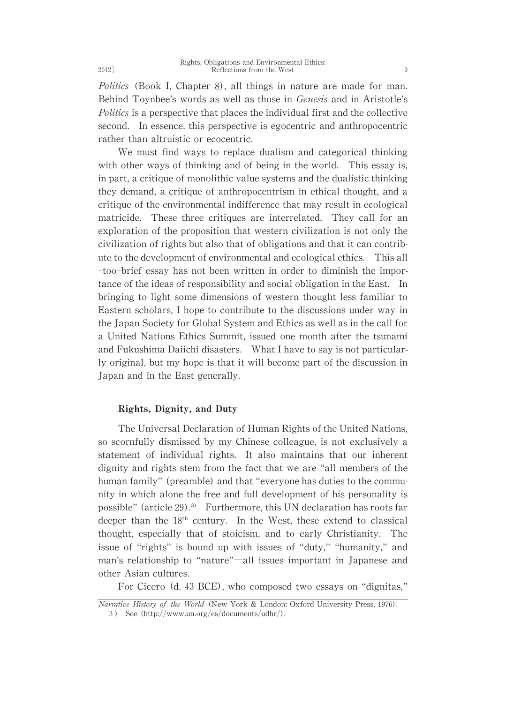Politics (Book I, Chapter 8), all things in nature are made for man. Behind Toynbee's words as well as those in Genesis and in Aristotle's Politics is a perspective that places the individual first and the collective second. In essence, this perspective is egocentric and anthropocentric rather than altruistic or ecocentric.

We must find ways to replace dualism and categorical thinking with other ways of thinking and of being in the world. This essay is, in part, a critique of monolithic value systems and the dualistic thinking they demand, a critique of anthropocentrism in ethical thought, and a critique of the environmental indifference that may result in ecological matricide. These three critiques are interrelated. They call for an exploration of the proposition that western civilization is not only the civilization of rights but also that of obligations and that it can contribute to the development of environmental and ecological ethics. This all -too-brief essay has not been written in order to diminish the importance of the ideas of responsibility and social obligation in the East. In bringing to light some dimensions of western thought less familiar to Eastern scholars, I hope to contribute to the discussions under way in the Japan Society for Global System and Ethics as well as in the call for a United Nations Ethics Summit, issued one month after the tsunami and Fukushima Daiichi disasters. What I have to say is not particularly original, but my hope is that it will become part of the discussion in Japan and in the East generally.

### Rights, Dignity, and Duty

The Universal Declaration of Human Rights of the United Nations, so scornfully dismissed by my Chinese colleague, is not exclusively a statement of individual rights. It also maintains that our inherent dignity and rights stem from the fact that we are "all members of the human family" (preamble) and that "everyone has duties to the community in which alone the free and full development of his personality is possible" (article 29). $^{39}$  Furthermore, this UN declaration has roots far deeper than the  $18<sup>th</sup>$  century. In the West, these extend to classical thought, especially that of stoicism, and to early Christianity. The issue of "rights" is bound up with issues of "duty," "humanity," and man's relationship to "nature"―all issues important in Japanese and other Asian cultures.

For Cicero (d. 43 BCE), who composed two essays on "dignitas,"

Narrative History of the World (New York & London: Oxford University Press, 1976). 3) See (http://www.un.org/es/documents/udhr/).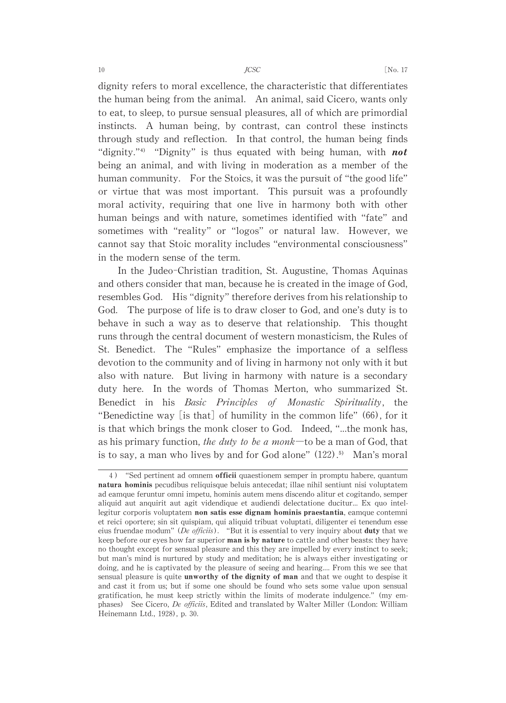dignity refers to moral excellence, the characteristic that differentiates the human being from the animal. An animal, said Cicero, wants only to eat, to sleep, to pursue sensual pleasures, all of which are primordial instincts. A human being, by contrast, can control these instincts through study and reflection. In that control, the human being finds "dignity." $4$ " "Dignity" is thus equated with being human, with **not** being an animal, and with living in moderation as a member of the human community. For the Stoics, it was the pursuit of "the good life" or virtue that was most important. This pursuit was a profoundly moral activity, requiring that one live in harmony both with other human beings and with nature, sometimes identified with "fate" and sometimes with "reality" or "logos" or natural law. However, we cannot say that Stoic morality includes "environmental consciousness" in the modern sense of the term.

In the Judeo-Christian tradition, St. Augustine, Thomas Aquinas and others consider that man, because he is created in the image of God, resembles God. His "dignity" therefore derives from his relationship to God. The purpose of life is to draw closer to God, and one's duty is to behave in such a way as to deserve that relationship. This thought runs through the central document of western monasticism, the Rules of St. Benedict. The "Rules" emphasize the importance of a selfless devotion to the community and of living in harmony not only with it but also with nature. But living in harmony with nature is a secondary duty here. In the words of Thomas Merton, who summarized St. Benedict in his Basic Principles of Monastic Spirituality, the "Benedictine way [is that] of humility in the common life"  $(66)$ , for it is that which brings the monk closer to God. Indeed, "...the monk has, as his primary function, the duty to be a monk—to be a man of God, that is to say, a man who lives by and for God alone"  $(122)$ .<sup>5)</sup> Man's moral

<sup>4)</sup> "Sed pertinent ad omnem officii quaestionem semper in promptu habere,quantum natura hominis pecudibus reliquisque beluis antecedat;illae nihil sentiunt nisi voluptatem ad eamque feruntur omni impetu, hominis autem mens discendo alitur et cogitando, semper aliquid aut anquirit aut agit videndique et audiendi delectatione ducitur... Ex quo intellegitur corporis voluptatem non satis esse dignam hominis praestantia, eamque contemni et reici oportere; sin sit quispiam, qui aliquid tribuat voluptati, diligenter ei tenendum esse eius fruendae modum" (De officiis). "But it is essential to very inquiry about **duty** that we keep before our eyes how far superior **man is by nature** to cattle and other beasts: they have no thought except for sensual pleasure and this they are impelled by every instinct to seek; but man's mind is nurtured by study and meditation; he is always either investigating or doing, and he is captivated by the pleasure of seeing and hearing.... From this we see that sensual pleasure is quite unworthy of the dignity of man and that we ought to despise it and cast it from us;but if some one should be found who sets some value upon sensual gratification, he must keep strictly within the limits of moderate indulgence."(my emphases) See Cicero, De officiis, Edited and translated by Walter Miller (London: William Heinemann Ltd., 1928), p. 30.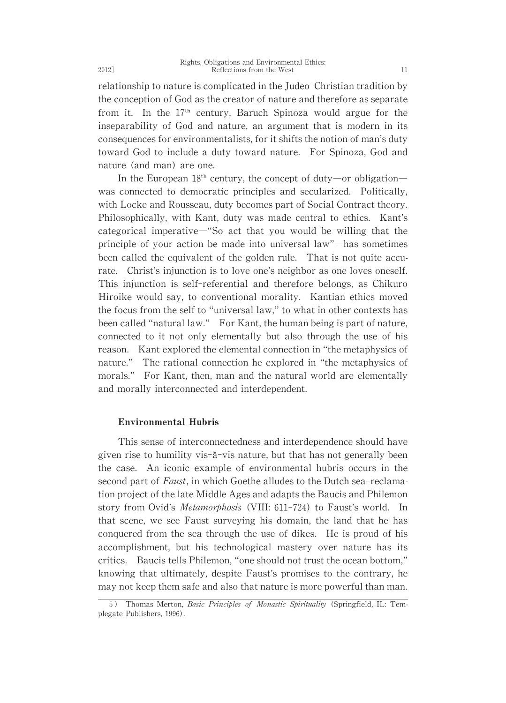relationship to nature is complicated in the Judeo-Christian tradition by the conception of God as the creator of nature and therefore as separate from it. In the  $17<sup>th</sup>$  century, Baruch Spinoza would argue for the inseparability of God and nature, an argument that is modern in its consequences for environmentalists, for it shifts the notion of man's duty toward God to include a duty toward nature. For Spinoza, God and nature (and man) are one.

In the European  $18<sup>th</sup>$  century, the concept of duty—or obligation was connected to democratic principles and secularized. Politically, with Locke and Rousseau, duty becomes part of Social Contract theory. Philosophically, with Kant, duty was made central to ethics. Kant's categorical imperative―"So act that you would be willing that the principle of your action be made into universal law"―has sometimes been called the equivalent of the golden rule. That is not quite accurate. Christ's injunction is to love one's neighbor as one loves oneself. This injunction is self-referential and therefore belongs, as Chikuro Hiroike would say, to conventional morality. Kantian ethics moved the focus from the self to "universal law," to what in other contexts has been called "natural law." For Kant, the human being is part of nature, connected to it not only elementally but also through the use of his reason. Kant explored the elemental connection in "the metaphysics of nature." The rational connection he explored in "the metaphysics of morals." For Kant, then, man and the natural world are elementally and morally interconnected and interdependent.

#### Environmental Hubris

This sense of interconnectedness and interdependence should have given rise to humility vis- $\tilde{a}$ -vis nature, but that has not generally been the case. An iconic example of environmental hubris occurs in the second part of Faust, in which Goethe alludes to the Dutch sea-reclamation project of the late Middle Ages and adapts the Baucis and Philemon story from Ovid's Metamorphosis (VIII: 611-724) to Faust's world. In that scene, we see Faust surveying his domain, the land that he has conquered from the sea through the use of dikes. He is proud of his accomplishment, but his technological mastery over nature has its critics. Baucis tells Philemon, "one should not trust the ocean bottom," knowing that ultimately, despite Faust's promises to the contrary, he may not keep them safe and also that nature is more powerful than man.

<sup>5)</sup> Thomas Merton, *Basic Principles of Monastic Spirituality* (Springfield, IL: Templegate Publishers, 1996).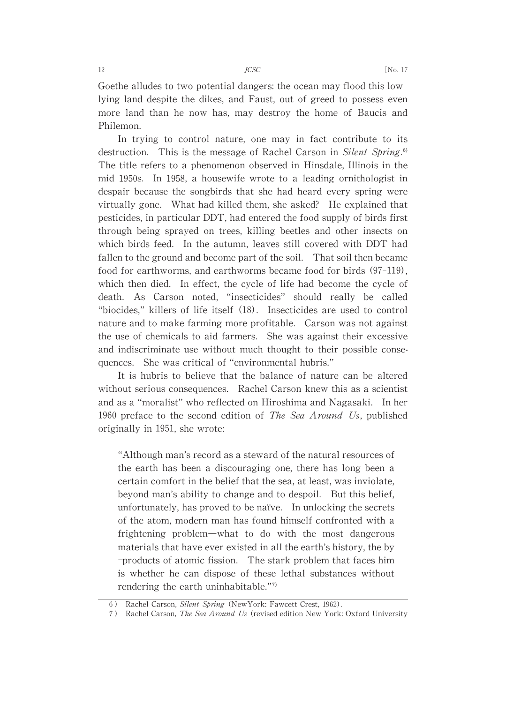Goethe alludes to two potential dangers: the ocean may flood this lowlying land despite the dikes, and Faust, out of greed to possess even more land than he now has, may destroy the home of Baucis and Philemon.

In trying to control nature, one may in fact contribute to its destruction. This is the message of Rachel Carson in Silent Spring.<sup>6)</sup> The title refers to a phenomenon observed in Hinsdale, Illinois in the mid 1950s. In 1958, a housewife wrote to a leading ornithologist in despair because the songbirds that she had heard every spring were virtually gone. What had killed them, she asked? He explained that pesticides, in particular DDT, had entered the food supply of birds first through being sprayed on trees, killing beetles and other insects on which birds feed. In the autumn, leaves still covered with DDT had fallen to the ground and become part of the soil. That soil then became food for earthworms, and earthworms became food for birds  $(97-119)$ , which then died. In effect, the cycle of life had become the cycle of death. As Carson noted, "insecticides" should really be called "biocides,"killers of life itself (18). Insecticides are used to control nature and to make farming more profitable. Carson was not against the use of chemicals to aid farmers. She was against their excessive and indiscriminate use without much thought to their possible consequences. She was critical of "environmental hubris."

It is hubris to believe that the balance of nature can be altered without serious consequences. Rachel Carson knew this as a scientist and as a "moralist"who reflected on Hiroshima and Nagasaki. In her 1960 preface to the second edition of The Sea Around Us, published originally in 1951, she wrote:

"Although man's record as a steward of the natural resources of the earth has been a discouraging one, there has long been a certain comfort in the belief that the sea, at least, was inviolate, beyond man's ability to change and to despoil. But this belief, unfortunately, has proved to be naïve. In unlocking the secrets of the atom, modern man has found himself confronted with a frightening problem―what to do with the most dangerous materials that have ever existed in all the earth's history, the by -products of atomic fission. The stark problem that faces him is whether he can dispose of these lethal substances without rendering the earth uninhabitable." $7$ 

<sup>6)</sup> Rachel Carson, Silent Spring (NewYork: Fawcett Crest, 1962).

<sup>7)</sup> Rachel Carson, The Sea Around Us (revised edition New York: Oxford University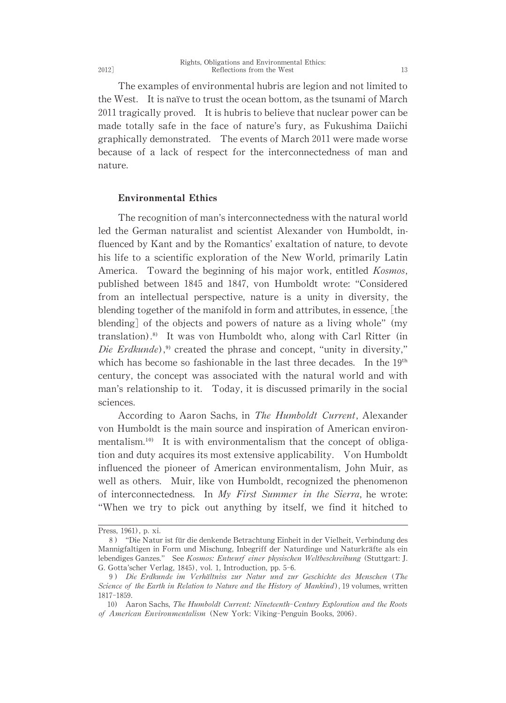The examples of environmental hubris are legion and not limited to the West. It is naïve to trust the ocean bottom, as the tsunami of March 2011 tragically proved. It is hubris to believe that nuclear power can be made totally safe in the face of nature's fury, as Fukushima Daiichi graphically demonstrated. The events of March 2011 were made worse because of a lack of respect for the interconnectedness of man and nature.

#### Environmental Ethics

The recognition of man's interconnectedness with the natural world led the German naturalist and scientist Alexander von Humboldt, influenced by Kant and by the Romantics' exaltation of nature, to devote his life to a scientific exploration of the New World, primarily Latin America. Toward the beginning of his major work, entitled Kosmos, published between 1845 and 1847, von Humboldt wrote: "Considered from an intellectual perspective, nature is a unity in diversity, the blending together of the manifold in form and attributes, in essence,  $\lfloor$ the blending of the objects and powers of nature as a living whole" (my translation).<sup>8)</sup> It was von Humboldt who, along with Carl Ritter (in Die Erdkunde),<sup>9)</sup> created the phrase and concept, "unity in diversity," which has become so fashionable in the last three decades. In the  $19<sup>th</sup>$ century, the concept was associated with the natural world and with man's relationship to it. Today, it is discussed primarily in the social sciences.

According to Aaron Sachs, in The Humboldt Current, Alexander von Humboldt is the main source and inspiration of American environmentalism.<sup>10)</sup> It is with environmentalism that the concept of obligation and duty acquires its most extensive applicability. Von Humboldt influenced the pioneer of American environmentalism, John Muir, as well as others. Muir, like von Humboldt, recognized the phenomenon of interconnectedness. In My First Summer in the Sierra, he wrote: "When we try to pick out anything by itself, we find it hitched to

Press, 1961), p. xi.

<sup>8) &</sup>quot;Die Natur ist für die denkende Betrachtung Einheit in der Vielheit, Verbindung des Mannigfaltigen in Form und Mischung, Inbegriff der Naturdinge und Naturkräfte als ein lebendiges Ganzes." See Kosmos: Entwurf einer physischen Weltbeschreibung (Stuttgart: J. G. Gotta'scher Verlag, 1845), vol. 1, Introduction, pp. 5-6.

<sup>9)</sup> Die Erdkunde im Verhältniss zur Natur und zur Geschichte des Menschen (The Science of the Earth in Relation to Nature and the History of Mankind), 19 volumes, written 1817-1859.

<sup>10)</sup> Aaron Sachs, The Humboldt Current: Nineteenth-Century Exploration and the Roots of American Environmentalism (New York: Viking-Penguin Books, 2006).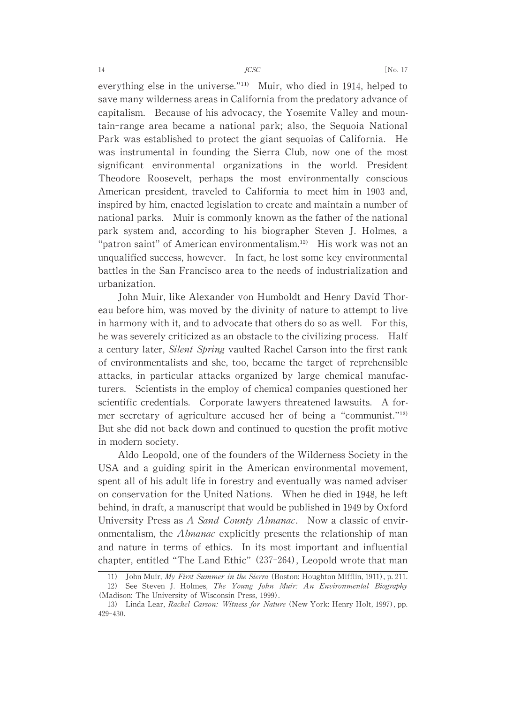everything else in the universe. $\frac{m}{n}$  Muir, who died in 1914, helped to save many wilderness areas in California from the predatory advance of capitalism. Because of his advocacy, the Yosemite Valley and mountain-range area became a national park; also, the Sequoia National Park was established to protect the giant sequoias of California. He was instrumental in founding the Sierra Club, now one of the most significant environmental organizations in the world. President Theodore Roosevelt, perhaps the most environmentally conscious American president, traveled to California to meet him in 1903 and, inspired by him, enacted legislation to create and maintain a number of national parks. Muir is commonly known as the father of the national park system and, according to his biographer Steven J. Holmes, a "patron saint" of American environmentalism. $12$  His work was not an unqualified success, however. In fact, he lost some key environmental battles in the San Francisco area to the needs of industrialization and urbanization.

John Muir, like Alexander von Humboldt and Henry David Thoreau before him, was moved by the divinity of nature to attempt to live in harmony with it, and to advocate that others do so as well. For this, he was severely criticized as an obstacle to the civilizing process. Half a century later, Silent Spring vaulted Rachel Carson into the first rank of environmentalists and she, too, became the target of reprehensible attacks, in particular attacks organized by large chemical manufacturers. Scientists in the employ of chemical companies questioned her scientific credentials. Corporate lawyers threatened lawsuits. A former secretary of agriculture accused her of being a "communist."<sup>13)</sup> But she did not back down and continued to question the profit motive in modern society.

Aldo Leopold, one of the founders of the Wilderness Society in the USA and a guiding spirit in the American environmental movement, spent all of his adult life in forestry and eventually was named adviser on conservation for the United Nations. When he died in 1948, he left behind, in draft, a manuscript that would be published in 1949 by Oxford University Press as A Sand County Almanac. Now a classic of environmentalism, the Almanac explicitly presents the relationship of man and nature in terms of ethics. In its most important and influential chapter, entitled "The Land Ethic" (237-264), Leopold wrote that man

<sup>11)</sup> John Muir, My First Summer in the Sierra (Boston: Houghton Mifflin, 1911), p. 211.<br>12) See Steven J. Holmes. *The Young John Muir: An Environmental Biography* See Steven J. Holmes, The Young John Muir: An Environmental Biography (Madison: The University of Wisconsin Press, 1999).

<sup>13)</sup> Linda Lear, Rachel Carson: Witness for Nature (New York: Henry Holt, 1997), pp. 429-430.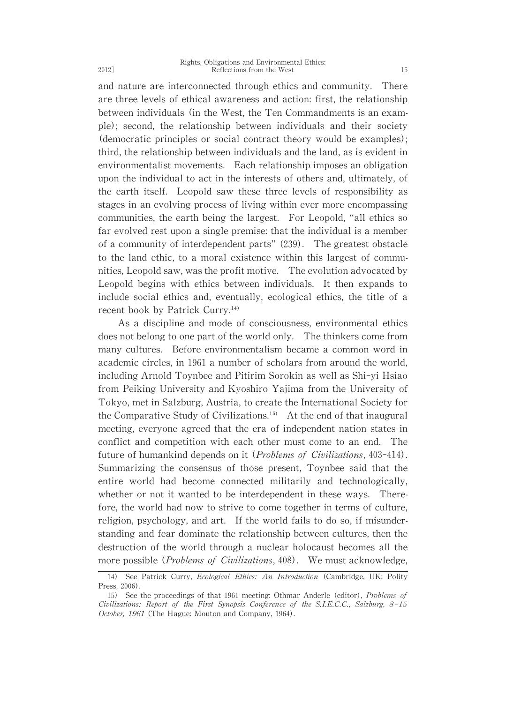and nature are interconnected through ethics and community. There are three levels of ethical awareness and action: first, the relationship between individuals (in the West, the Ten Commandments is an example); second, the relationship between individuals and their society (democratic principles or social contract theory would be examples); third, the relationship between individuals and the land, as is evident in environmentalist movements. Each relationship imposes an obligation upon the individual to act in the interests of others and, ultimately, of the earth itself. Leopold saw these three levels of responsibility as stages in an evolving process of living within ever more encompassing communities, the earth being the largest. For Leopold, "all ethics so far evolved rest upon a single premise: that the individual is a member of a community of interdependent parts" (239). The greatest obstacle to the land ethic, to a moral existence within this largest of communities, Leopold saw, was the profit motive. The evolution advocated by Leopold begins with ethics between individuals. It then expands to include social ethics and, eventually, ecological ethics, the title of a recent book by Patrick Curry.<sup>14)</sup>

As a discipline and mode of consciousness, environmental ethics does not belong to one part of the world only. The thinkers come from many cultures. Before environmentalism became a common word in academic circles, in 1961 a number of scholars from around the world. including Arnold Toynbee and Pitirim Sorokin as well as Shi-yi Hsiao from Peiking University and Kyoshiro Yajima from the University of Tokyo, met in Salzburg, Austria, to create the International Society for the Comparative Study of Civilizations.<sup>15)</sup> At the end of that inaugural meeting, everyone agreed that the era of independent nation states in conflict and competition with each other must come to an end. The future of humankind depends on it (*Problems of Civilizations*, 403-414). Summarizing the consensus of those present, Toynbee said that the entire world had become connected militarily and technologically, whether or not it wanted to be interdependent in these ways. Therefore, the world had now to strive to come together in terms of culture, religion, psychology, and art. If the world fails to do so, if misunderstanding and fear dominate the relationship between cultures, then the destruction of the world through a nuclear holocaust becomes all the more possible (Problems of Civilizations, 408). We must acknowledge,

<sup>14)</sup> See Patrick Curry, Ecological Ethics: An Introduction (Cambridge, UK: Polity Press, 2006).

<sup>15)</sup> See the proceedings of that 1961 meeting: Othmar Anderle (editor), *Problems of* Civilizations: Report of the First Synopsis Conference of the S.I.E.C.C., Salzburg, 8-15 October, 1961 (The Hague: Mouton and Company, 1964).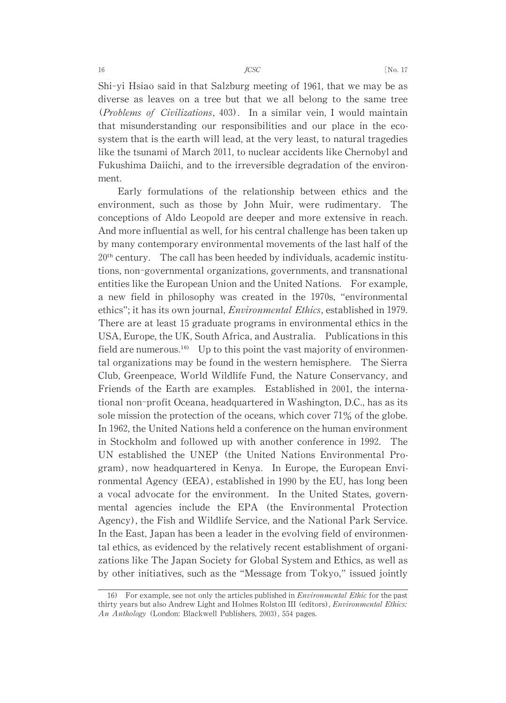Shi-yi Hsiao said in that Salzburg meeting of 1961, that we may be as diverse as leaves on a tree but that we all belong to the same tree (Problems of Civilizations, 403). In a similar vein, I would maintain that misunderstanding our responsibilities and our place in the ecosystem that is the earth will lead, at the very least, to natural tragedies like the tsunami of March 2011, to nuclear accidents like Chernobyl and Fukushima Daiichi, and to the irreversible degradation of the environment.

Early formulations of the relationship between ethics and the environment, such as those by John Muir, were rudimentary. The conceptions of Aldo Leopold are deeper and more extensive in reach. And more influential as well, for his central challenge has been taken up by many contemporary environmental movements of the last half of the  $20<sup>th</sup>$  century. The call has been heeded by individuals, academic institutions, non-governmental organizations, governments, and transnational entities like the European Union and the United Nations. For example, a new field in philosophy was created in the 1970s, "environmental ethics"; it has its own journal, *Environmental Ethics*, established in 1979. There are at least 15 graduate programs in environmental ethics in the USA, Europe, the UK, South Africa, and Australia. Publications in this field are numerous.<sup>16)</sup> Up to this point the vast majority of environmental organizations may be found in the western hemisphere. The Sierra Club, Greenpeace,World Wildlife Fund, the Nature Conservancy, and Friends of the Earth are examples. Established in 2001, the international non-profit Oceana, headquartered in Washington, D.C., has as its sole mission the protection of the oceans, which cover  $71\%$  of the globe. In 1962, the United Nations held a conference on the human environment in Stockholm and followed up with another conference in 1992. The UN established the UNEP (the United Nations Environmental Program), now headquartered in Kenya. In Europe, the European Environmental Agency (EEA), established in 1990 by the EU, has long been a vocal advocate for the environment. In the United States, governmental agencies include the EPA (the Environmental Protection Agency), the Fish and Wildlife Service, and the National Park Service. In the East, Japan has been a leader in the evolving field of environmental ethics, as evidenced by the relatively recent establishment of organizations like The Japan Society for Global System and Ethics, as well as by other initiatives, such as the "Message from Tokyo," issued jointly

<sup>16)</sup> For example, see not only the articles published in *Environmental Ethic* for the past thirty years but also Andrew Light and Holmes Rolston III (editors), *Environmental Ethics*: An Anthology (London: Blackwell Publishers, 2003), 554 pages.